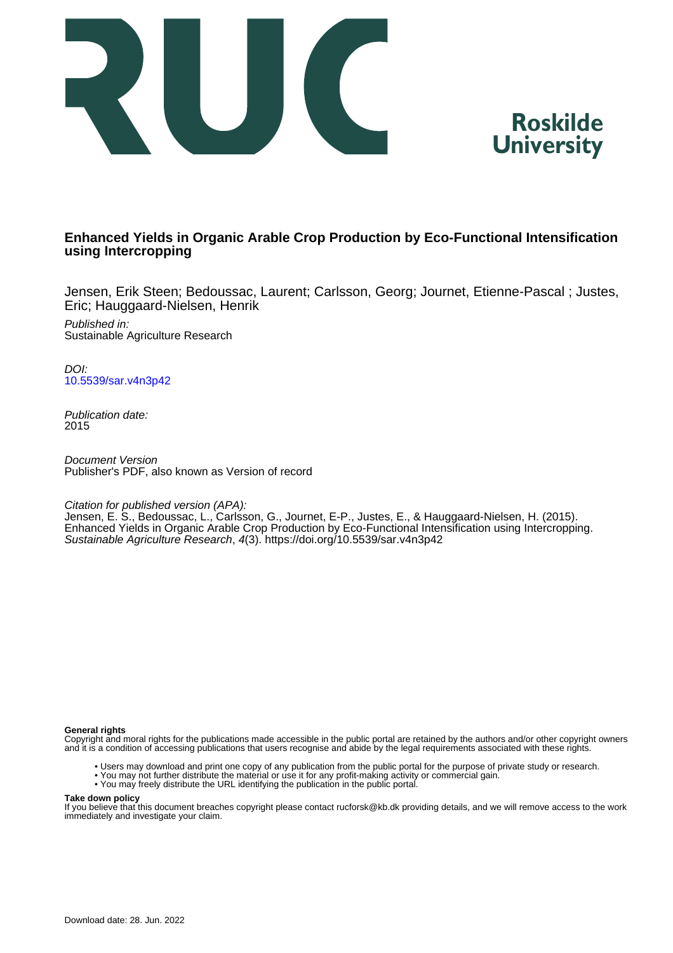



# **Enhanced Yields in Organic Arable Crop Production by Eco-Functional Intensification using Intercropping**

Jensen, Erik Steen; Bedoussac, Laurent; Carlsson, Georg; Journet, Etienne-Pascal ; Justes, Eric; Hauggaard-Nielsen, Henrik

Published in: Sustainable Agriculture Research

DOI: [10.5539/sar.v4n3p42](https://doi.org/10.5539/sar.v4n3p42)

Publication date: 2015

Document Version Publisher's PDF, also known as Version of record

Citation for published version (APA):

Jensen, E. S., Bedoussac, L., Carlsson, G., Journet, E-P., Justes, E., & Hauggaard-Nielsen, H. (2015). Enhanced Yields in Organic Arable Crop Production by Eco-Functional Intensification using Intercropping. Sustainable Agriculture Research, 4(3).<https://doi.org/10.5539/sar.v4n3p42>

#### **General rights**

Copyright and moral rights for the publications made accessible in the public portal are retained by the authors and/or other copyright owners and it is a condition of accessing publications that users recognise and abide by the legal requirements associated with these rights.

- Users may download and print one copy of any publication from the public portal for the purpose of private study or research.
- You may not further distribute the material or use it for any profit-making activity or commercial gain.
- You may freely distribute the URL identifying the publication in the public portal.

#### **Take down policy**

If you believe that this document breaches copyright please contact rucforsk@kb.dk providing details, and we will remove access to the work immediately and investigate your claim.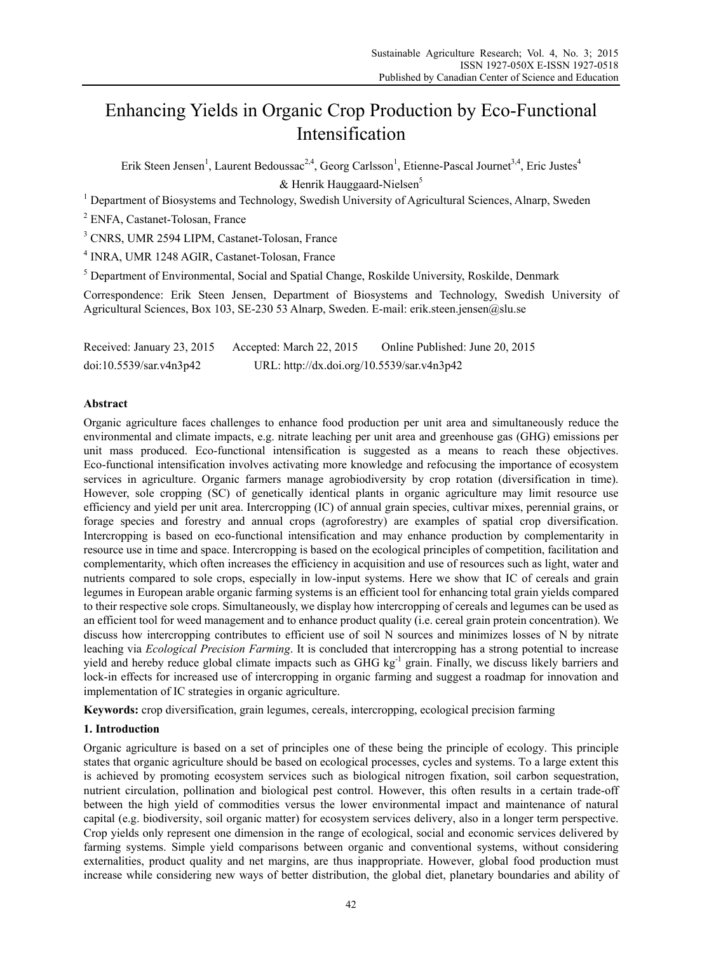# Enhancing Yields in Organic Crop Production by Eco-Functional Intensification

Erik Steen Jensen<sup>1</sup>, Laurent Bedoussac<sup>2,4</sup>, Georg Carlsson<sup>1</sup>, Etienne-Pascal Journet<sup>3,4</sup>, Eric Justes<sup>4</sup>  $&$  Henrik Hauggaard-Nielsen<sup>5</sup>

<sup>1</sup> Department of Biosystems and Technology, Swedish University of Agricultural Sciences, Alnarp, Sweden

<sup>2</sup> ENFA, Castanet-Tolosan, France

<sup>3</sup> CNRS, UMR 2594 LIPM, Castanet-Tolosan, France

4 INRA, UMR 1248 AGIR, Castanet-Tolosan, France

<sup>5</sup> Department of Environmental, Social and Spatial Change, Roskilde University, Roskilde, Denmark

Correspondence: Erik Steen Jensen, Department of Biosystems and Technology, Swedish University of Agricultural Sciences, Box 103, SE-230 53 Alnarp, Sweden. E-mail: erik.steen.jensen@slu.se

Received: January 23, 2015 Accepted: March 22, 2015 Online Published: June 20, 2015 doi:10.5539/sar.v4n3p42 URL: http://dx.doi.org/10.5539/sar.v4n3p42

### **Abstract**

Organic agriculture faces challenges to enhance food production per unit area and simultaneously reduce the environmental and climate impacts, e.g. nitrate leaching per unit area and greenhouse gas (GHG) emissions per unit mass produced. Eco-functional intensification is suggested as a means to reach these objectives. Eco-functional intensification involves activating more knowledge and refocusing the importance of ecosystem services in agriculture. Organic farmers manage agrobiodiversity by crop rotation (diversification in time). However, sole cropping (SC) of genetically identical plants in organic agriculture may limit resource use efficiency and yield per unit area. Intercropping (IC) of annual grain species, cultivar mixes, perennial grains, or forage species and forestry and annual crops (agroforestry) are examples of spatial crop diversification. Intercropping is based on eco-functional intensification and may enhance production by complementarity in resource use in time and space. Intercropping is based on the ecological principles of competition, facilitation and complementarity, which often increases the efficiency in acquisition and use of resources such as light, water and nutrients compared to sole crops, especially in low-input systems. Here we show that IC of cereals and grain legumes in European arable organic farming systems is an efficient tool for enhancing total grain yields compared to their respective sole crops. Simultaneously, we display how intercropping of cereals and legumes can be used as an efficient tool for weed management and to enhance product quality (i.e. cereal grain protein concentration). We discuss how intercropping contributes to efficient use of soil N sources and minimizes losses of N by nitrate leaching via *Ecological Precision Farming*. It is concluded that intercropping has a strong potential to increase yield and hereby reduce global climate impacts such as GHG kg<sup>-1</sup> grain. Finally, we discuss likely barriers and lock-in effects for increased use of intercropping in organic farming and suggest a roadmap for innovation and implementation of IC strategies in organic agriculture.

**Keywords:** crop diversification, grain legumes, cereals, intercropping, ecological precision farming

## **1. Introduction**

Organic agriculture is based on a set of principles one of these being the principle of ecology. This principle states that organic agriculture should be based on ecological processes, cycles and systems. To a large extent this is achieved by promoting ecosystem services such as biological nitrogen fixation, soil carbon sequestration, nutrient circulation, pollination and biological pest control. However, this often results in a certain trade-off between the high yield of commodities versus the lower environmental impact and maintenance of natural capital (e.g. biodiversity, soil organic matter) for ecosystem services delivery, also in a longer term perspective. Crop yields only represent one dimension in the range of ecological, social and economic services delivered by farming systems. Simple yield comparisons between organic and conventional systems, without considering externalities, product quality and net margins, are thus inappropriate. However, global food production must increase while considering new ways of better distribution, the global diet, planetary boundaries and ability of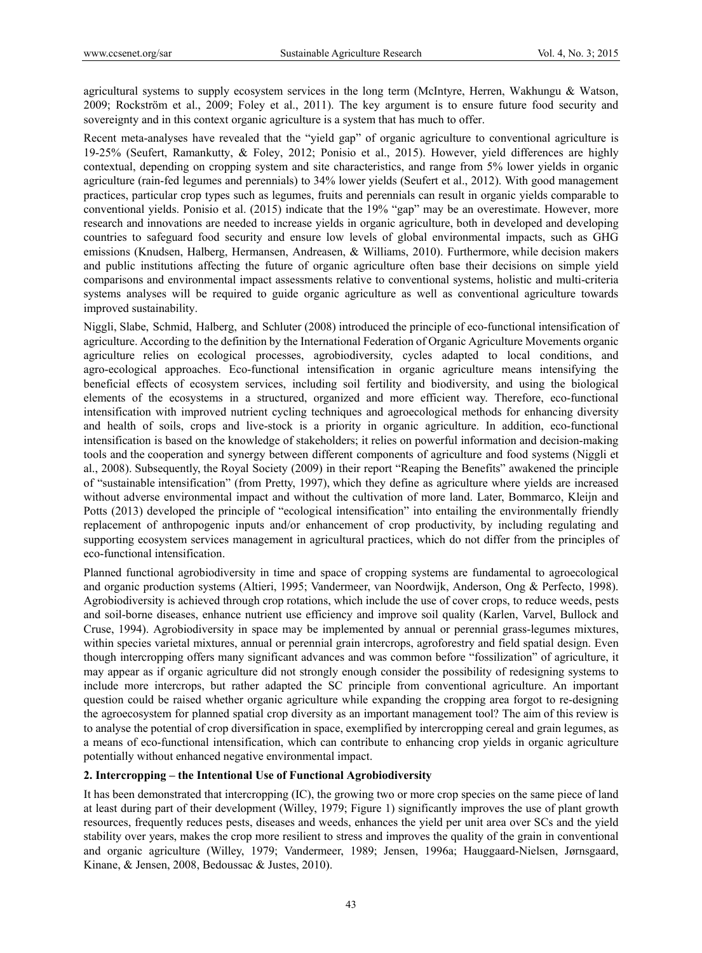agricultural systems to supply ecosystem services in the long term (McIntyre, Herren, Wakhungu & Watson, 2009; Rockström et al., 2009; Foley et al., 2011). The key argument is to ensure future food security and sovereignty and in this context organic agriculture is a system that has much to offer.

Recent meta-analyses have revealed that the "yield gap" of organic agriculture to conventional agriculture is 19-25% (Seufert, Ramankutty, & Foley, 2012; Ponisio et al., 2015). However, yield differences are highly contextual, depending on cropping system and site characteristics, and range from 5% lower yields in organic agriculture (rain-fed legumes and perennials) to 34% lower yields (Seufert et al., 2012). With good management practices, particular crop types such as legumes, fruits and perennials can result in organic yields comparable to conventional yields. Ponisio et al. (2015) indicate that the 19% "gap" may be an overestimate. However, more research and innovations are needed to increase yields in organic agriculture, both in developed and developing countries to safeguard food security and ensure low levels of global environmental impacts, such as GHG emissions (Knudsen, Halberg, Hermansen, Andreasen, & Williams, 2010). Furthermore, while decision makers and public institutions affecting the future of organic agriculture often base their decisions on simple yield comparisons and environmental impact assessments relative to conventional systems, holistic and multi-criteria systems analyses will be required to guide organic agriculture as well as conventional agriculture towards improved sustainability.

Niggli, Slabe, Schmid, Halberg, and Schluter (2008) introduced the principle of eco-functional intensification of agriculture. According to the definition by the International Federation of Organic Agriculture Movements organic agriculture relies on ecological processes, agrobiodiversity, cycles adapted to local conditions, and agro-ecological approaches. Eco-functional intensification in organic agriculture means intensifying the beneficial effects of ecosystem services, including soil fertility and biodiversity, and using the biological elements of the ecosystems in a structured, organized and more efficient way. Therefore, eco-functional intensification with improved nutrient cycling techniques and agroecological methods for enhancing diversity and health of soils, crops and live-stock is a priority in organic agriculture. In addition, eco-functional intensification is based on the knowledge of stakeholders; it relies on powerful information and decision-making tools and the cooperation and synergy between different components of agriculture and food systems (Niggli et al., 2008). Subsequently, the Royal Society (2009) in their report "Reaping the Benefits" awakened the principle of "sustainable intensification" (from Pretty, 1997), which they define as agriculture where yields are increased without adverse environmental impact and without the cultivation of more land. Later, Bommarco, Kleijn and Potts (2013) developed the principle of "ecological intensification" into entailing the environmentally friendly replacement of anthropogenic inputs and/or enhancement of crop productivity, by including regulating and supporting ecosystem services management in agricultural practices, which do not differ from the principles of eco-functional intensification.

Planned functional agrobiodiversity in time and space of cropping systems are fundamental to agroecological and organic production systems (Altieri, 1995; Vandermeer, van Noordwijk, Anderson, Ong & Perfecto, 1998). Agrobiodiversity is achieved through crop rotations, which include the use of cover crops, to reduce weeds, pests and soil-borne diseases, enhance nutrient use efficiency and improve soil quality (Karlen, Varvel, Bullock and Cruse, 1994). Agrobiodiversity in space may be implemented by annual or perennial grass-legumes mixtures, within species varietal mixtures, annual or perennial grain intercrops, agroforestry and field spatial design. Even though intercropping offers many significant advances and was common before "fossilization" of agriculture, it may appear as if organic agriculture did not strongly enough consider the possibility of redesigning systems to include more intercrops, but rather adapted the SC principle from conventional agriculture. An important question could be raised whether organic agriculture while expanding the cropping area forgot to re-designing the agroecosystem for planned spatial crop diversity as an important management tool? The aim of this review is to analyse the potential of crop diversification in space, exemplified by intercropping cereal and grain legumes, as a means of eco-functional intensification, which can contribute to enhancing crop yields in organic agriculture potentially without enhanced negative environmental impact.

#### **2. Intercropping – the Intentional Use of Functional Agrobiodiversity**

It has been demonstrated that intercropping (IC), the growing two or more crop species on the same piece of land at least during part of their development (Willey, 1979; Figure 1) significantly improves the use of plant growth resources, frequently reduces pests, diseases and weeds, enhances the yield per unit area over SCs and the yield stability over years, makes the crop more resilient to stress and improves the quality of the grain in conventional and organic agriculture (Willey, 1979; Vandermeer, 1989; Jensen, 1996a; Hauggaard-Nielsen, Jørnsgaard, Kinane, & Jensen, 2008, Bedoussac & Justes, 2010).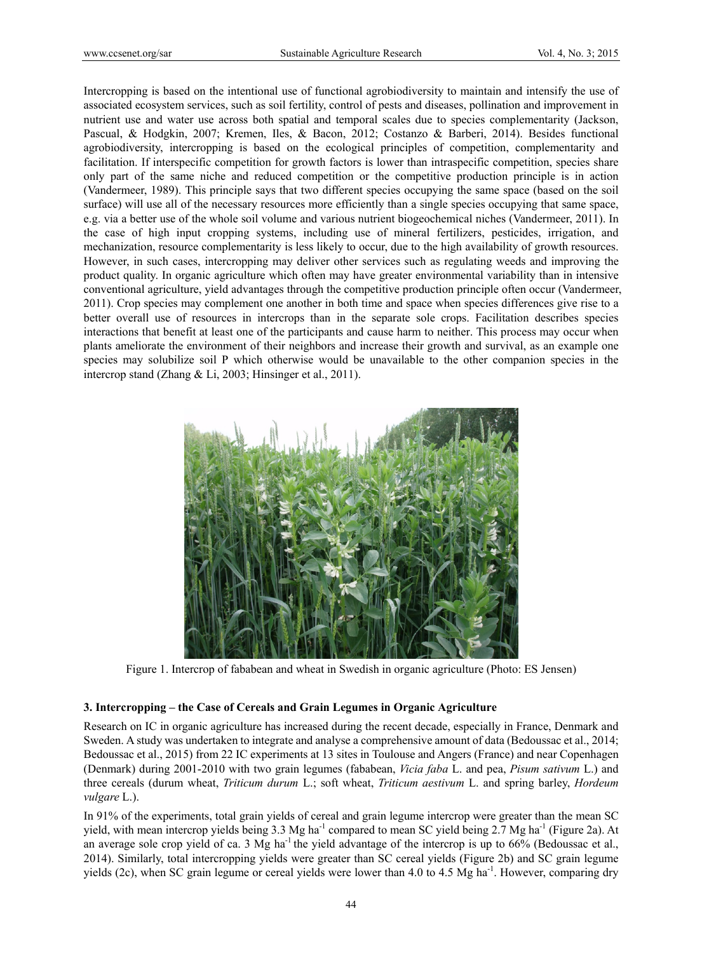Intercropping is based on the intentional use of functional agrobiodiversity to maintain and intensify the use of associated ecosystem services, such as soil fertility, control of pests and diseases, pollination and improvement in nutrient use and water use across both spatial and temporal scales due to species complementarity (Jackson, Pascual, & Hodgkin, 2007; Kremen, Iles, & Bacon, 2012; Costanzo & Barberi, 2014). Besides functional agrobiodiversity, intercropping is based on the ecological principles of competition, complementarity and facilitation. If interspecific competition for growth factors is lower than intraspecific competition, species share only part of the same niche and reduced competition or the competitive production principle is in action (Vandermeer, 1989). This principle says that two different species occupying the same space (based on the soil surface) will use all of the necessary resources more efficiently than a single species occupying that same space, e.g. via a better use of the whole soil volume and various nutrient biogeochemical niches (Vandermeer, 2011). In the case of high input cropping systems, including use of mineral fertilizers, pesticides, irrigation, and mechanization, resource complementarity is less likely to occur, due to the high availability of growth resources. However, in such cases, intercropping may deliver other services such as regulating weeds and improving the product quality. In organic agriculture which often may have greater environmental variability than in intensive conventional agriculture, yield advantages through the competitive production principle often occur (Vandermeer, 2011). Crop species may complement one another in both time and space when species differences give rise to a better overall use of resources in intercrops than in the separate sole crops. Facilitation describes species interactions that benefit at least one of the participants and cause harm to neither. This process may occur when plants ameliorate the environment of their neighbors and increase their growth and survival, as an example one species may solubilize soil P which otherwise would be unavailable to the other companion species in the intercrop stand (Zhang & Li, 2003; Hinsinger et al., 2011).



Figure 1. Intercrop of fababean and wheat in Swedish in organic agriculture (Photo: ES Jensen)

#### **3. Intercropping – the Case of Cereals and Grain Legumes in Organic Agriculture**

Research on IC in organic agriculture has increased during the recent decade, especially in France, Denmark and Sweden. A study was undertaken to integrate and analyse a comprehensive amount of data (Bedoussac et al., 2014; Bedoussac et al., 2015) from 22 IC experiments at 13 sites in Toulouse and Angers (France) and near Copenhagen (Denmark) during 2001-2010 with two grain legumes (fababean, *Vicia faba* L. and pea, *Pisum sativum* L.) and three cereals (durum wheat, *Triticum durum* L.; soft wheat, *Triticum aestivum* L. and spring barley, *Hordeum vulgare* L.).

In 91% of the experiments, total grain yields of cereal and grain legume intercrop were greater than the mean SC yield, with mean intercrop yields being 3.3 Mg ha<sup>-1</sup> compared to mean SC yield being 2.7 Mg ha<sup>-1</sup> (Figure 2a). At an average sole crop yield of ca. 3 Mg ha<sup>-1</sup> the yield advantage of the intercrop is up to  $66%$  (Bedoussac et al., 2014). Similarly, total intercropping yields were greater than SC cereal yields (Figure 2b) and SC grain legume yields (2c), when SC grain legume or cereal yields were lower than 4.0 to 4.5 Mg ha<sup>-1</sup>. However, comparing dry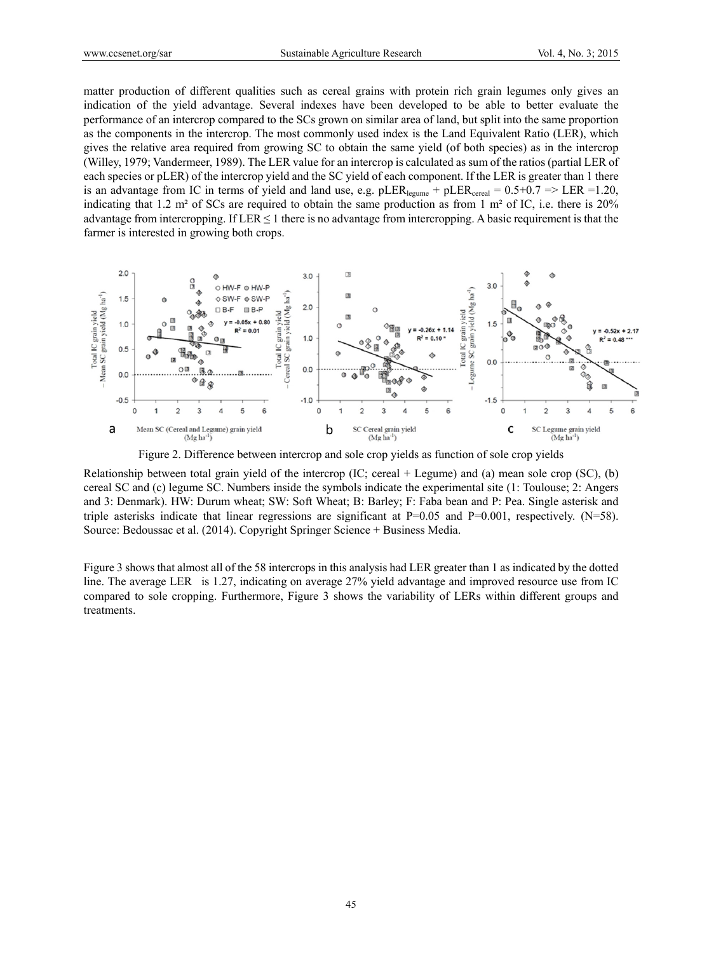matter production of different qualities such as cereal grains with protein rich grain legumes only gives an indication of the yield advantage. Several indexes have been developed to be able to better evaluate the performance of an intercrop compared to the SCs grown on similar area of land, but split into the same proportion as the components in the intercrop. The most commonly used index is the Land Equivalent Ratio (LER), which gives the relative area required from growing SC to obtain the same yield (of both species) as in the intercrop (Willey, 1979; Vandermeer, 1989). The LER value for an intercrop is calculated as sum of the ratios (partial LER of each species or pLER) of the intercrop yield and the SC yield of each component. If the LER is greater than 1 there is an advantage from IC in terms of yield and land use, e.g.  $pLER_{\text{legume}} + pLER_{\text{cercal}} = 0.5+0.7 \implies LER = 1.20$ , indicating that 1.2 m² of SCs are required to obtain the same production as from 1 m² of IC, i.e. there is 20% advantage from intercropping. If LER  $\leq 1$  there is no advantage from intercropping. A basic requirement is that the farmer is interested in growing both crops.



Figure 2. Difference between intercrop and sole crop yields as function of sole crop yields

Relationship between total grain yield of the intercrop (IC; cereal + Legume) and (a) mean sole crop (SC), (b) cereal SC and (c) legume SC. Numbers inside the symbols indicate the experimental site (1: Toulouse; 2: Angers and 3: Denmark). HW: Durum wheat; SW: Soft Wheat; B: Barley; F: Faba bean and P: Pea. Single asterisk and triple asterisks indicate that linear regressions are significant at P=0.05 and P=0.001, respectively. (N=58). Source: Bedoussac et al. (2014). Copyright Springer Science + Business Media.

Figure 3 shows that almost all of the 58 intercrops in this analysis had LER greater than 1 as indicated by the dotted line. The average LER is 1.27, indicating on average 27% yield advantage and improved resource use from IC compared to sole cropping. Furthermore, Figure 3 shows the variability of LERs within different groups and treatments.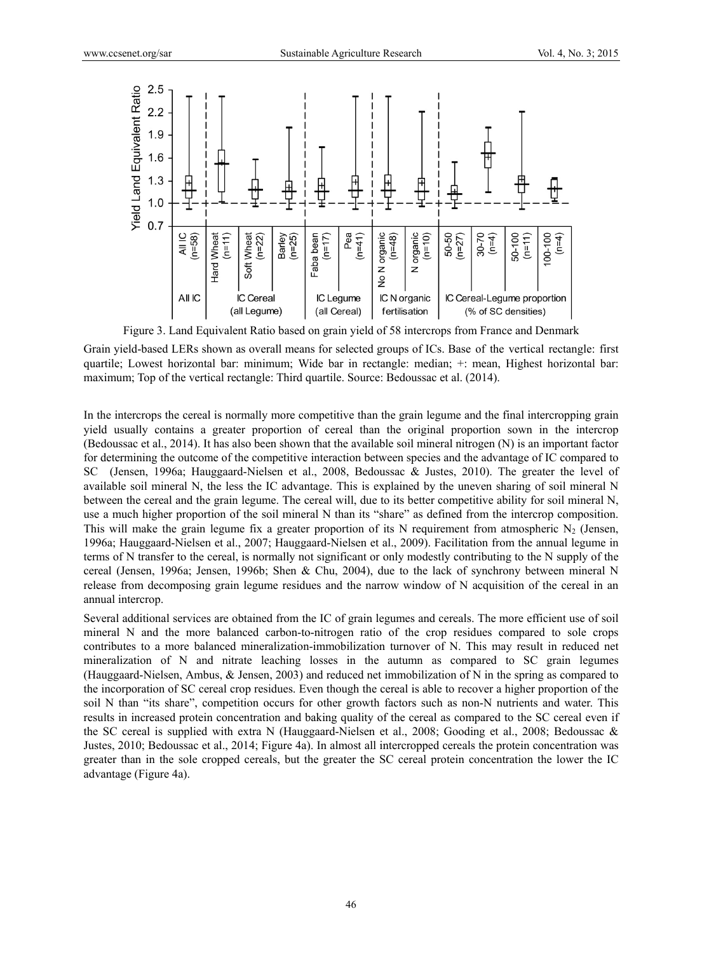

Figure 3. Land Equivalent Ratio based on grain yield of 58 intercrops from France and Denmark

Grain yield-based LERs shown as overall means for selected groups of ICs. Base of the vertical rectangle: first quartile; Lowest horizontal bar: minimum; Wide bar in rectangle: median; +: mean, Highest horizontal bar: maximum; Top of the vertical rectangle: Third quartile. Source: Bedoussac et al. (2014).

In the intercrops the cereal is normally more competitive than the grain legume and the final intercropping grain yield usually contains a greater proportion of cereal than the original proportion sown in the intercrop (Bedoussac et al., 2014). It has also been shown that the available soil mineral nitrogen (N) is an important factor for determining the outcome of the competitive interaction between species and the advantage of IC compared to SC (Jensen, 1996a; Hauggaard-Nielsen et al., 2008, Bedoussac & Justes, 2010). The greater the level of available soil mineral N, the less the IC advantage. This is explained by the uneven sharing of soil mineral N between the cereal and the grain legume. The cereal will, due to its better competitive ability for soil mineral N, use a much higher proportion of the soil mineral N than its "share" as defined from the intercrop composition. This will make the grain legume fix a greater proportion of its N requirement from atmospheric  $N_2$  (Jensen, 1996a; Hauggaard-Nielsen et al., 2007; Hauggaard-Nielsen et al., 2009). Facilitation from the annual legume in terms of N transfer to the cereal, is normally not significant or only modestly contributing to the N supply of the cereal (Jensen, 1996a; Jensen, 1996b; Shen & Chu, 2004), due to the lack of synchrony between mineral N release from decomposing grain legume residues and the narrow window of N acquisition of the cereal in an annual intercrop.

Several additional services are obtained from the IC of grain legumes and cereals. The more efficient use of soil mineral N and the more balanced carbon-to-nitrogen ratio of the crop residues compared to sole crops contributes to a more balanced mineralization-immobilization turnover of N. This may result in reduced net mineralization of N and nitrate leaching losses in the autumn as compared to SC grain legumes (Hauggaard-Nielsen, Ambus, & Jensen, 2003) and reduced net immobilization of N in the spring as compared to the incorporation of SC cereal crop residues. Even though the cereal is able to recover a higher proportion of the soil N than "its share", competition occurs for other growth factors such as non-N nutrients and water. This results in increased protein concentration and baking quality of the cereal as compared to the SC cereal even if the SC cereal is supplied with extra N (Hauggaard-Nielsen et al., 2008; Gooding et al., 2008; Bedoussac & Justes, 2010; Bedoussac et al., 2014; Figure 4a). In almost all intercropped cereals the protein concentration was greater than in the sole cropped cereals, but the greater the SC cereal protein concentration the lower the IC advantage (Figure 4a).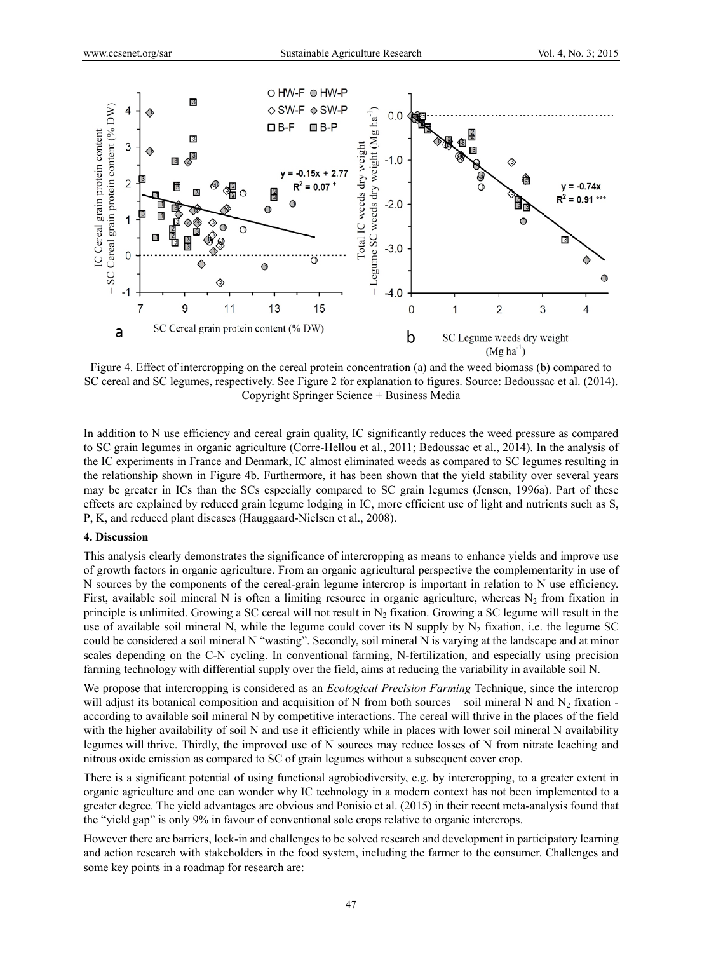

Figure 4. Effect of intercropping on the cereal protein concentration (a) and the weed biomass (b) compared to SC cereal and SC legumes, respectively. See Figure 2 for explanation to figures. Source: Bedoussac et al. (2014). Copyright Springer Science + Business Media

In addition to N use efficiency and cereal grain quality, IC significantly reduces the weed pressure as compared to SC grain legumes in organic agriculture (Corre-Hellou et al., 2011; Bedoussac et al., 2014). In the analysis of the IC experiments in France and Denmark, IC almost eliminated weeds as compared to SC legumes resulting in the relationship shown in Figure 4b. Furthermore, it has been shown that the yield stability over several years may be greater in ICs than the SCs especially compared to SC grain legumes (Jensen, 1996a). Part of these effects are explained by reduced grain legume lodging in IC, more efficient use of light and nutrients such as S, P, K, and reduced plant diseases (Hauggaard-Nielsen et al., 2008).

#### **4. Discussion**

This analysis clearly demonstrates the significance of intercropping as means to enhance yields and improve use of growth factors in organic agriculture. From an organic agricultural perspective the complementarity in use of N sources by the components of the cereal-grain legume intercrop is important in relation to N use efficiency. First, available soil mineral N is often a limiting resource in organic agriculture, whereas  $N_2$  from fixation in principle is unlimited. Growing a SC cereal will not result in  $N<sub>2</sub>$  fixation. Growing a SC legume will result in the use of available soil mineral N, while the legume could cover its N supply by  $N_2$  fixation, i.e. the legume SC could be considered a soil mineral N "wasting". Secondly, soil mineral N is varying at the landscape and at minor scales depending on the C-N cycling. In conventional farming, N-fertilization, and especially using precision farming technology with differential supply over the field, aims at reducing the variability in available soil N.

We propose that intercropping is considered as an *Ecological Precision Farming* Technique, since the intercrop will adjust its botanical composition and acquisition of N from both sources – soil mineral N and  $N_2$  fixation according to available soil mineral N by competitive interactions. The cereal will thrive in the places of the field with the higher availability of soil N and use it efficiently while in places with lower soil mineral N availability legumes will thrive. Thirdly, the improved use of N sources may reduce losses of N from nitrate leaching and nitrous oxide emission as compared to SC of grain legumes without a subsequent cover crop.

There is a significant potential of using functional agrobiodiversity, e.g. by intercropping, to a greater extent in organic agriculture and one can wonder why IC technology in a modern context has not been implemented to a greater degree. The yield advantages are obvious and Ponisio et al. (2015) in their recent meta-analysis found that the "yield gap" is only 9% in favour of conventional sole crops relative to organic intercrops.

However there are barriers, lock-in and challenges to be solved research and development in participatory learning and action research with stakeholders in the food system, including the farmer to the consumer. Challenges and some key points in a roadmap for research are: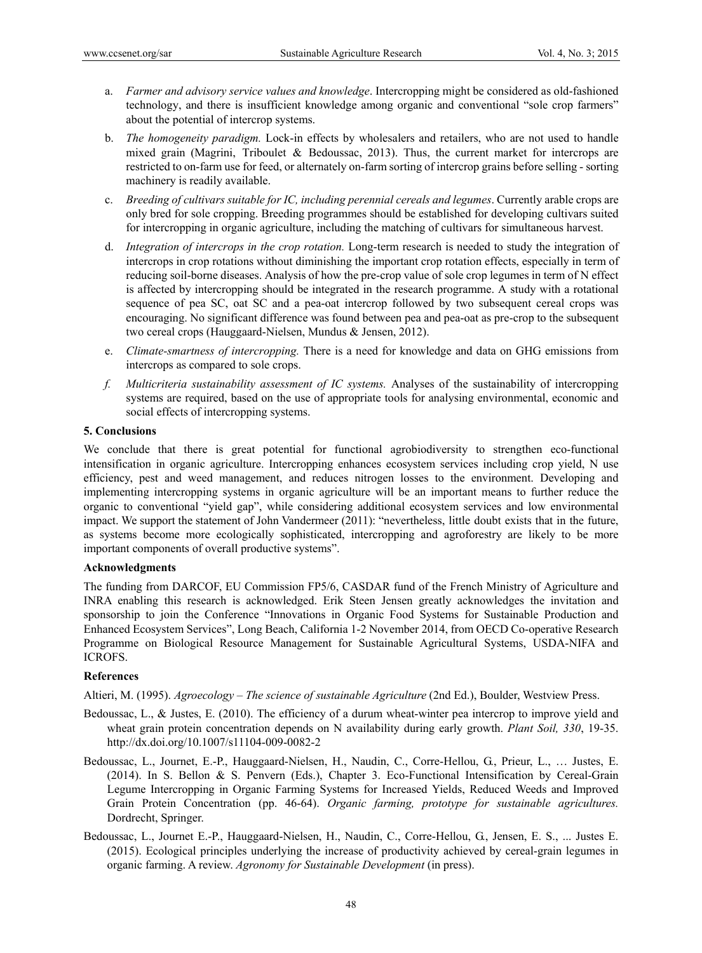- a. *Farmer and advisory service values and knowledge*. Intercropping might be considered as old-fashioned technology, and there is insufficient knowledge among organic and conventional "sole crop farmers" about the potential of intercrop systems.
- b. *The homogeneity paradigm.* Lock-in effects by wholesalers and retailers, who are not used to handle mixed grain (Magrini, Triboulet & Bedoussac, 2013). Thus, the current market for intercrops are restricted to on-farm use for feed, or alternately on-farm sorting of intercrop grains before selling - sorting machinery is readily available.
- c. *Breeding of cultivars suitable for IC, including perennial cereals and legumes*. Currently arable crops are only bred for sole cropping. Breeding programmes should be established for developing cultivars suited for intercropping in organic agriculture, including the matching of cultivars for simultaneous harvest.
- d. *Integration of intercrops in the crop rotation.* Long-term research is needed to study the integration of intercrops in crop rotations without diminishing the important crop rotation effects, especially in term of reducing soil-borne diseases. Analysis of how the pre-crop value of sole crop legumes in term of N effect is affected by intercropping should be integrated in the research programme. A study with a rotational sequence of pea SC, oat SC and a pea-oat intercrop followed by two subsequent cereal crops was encouraging. No significant difference was found between pea and pea-oat as pre-crop to the subsequent two cereal crops (Hauggaard-Nielsen, Mundus & Jensen, 2012).
- e. *Climate-smartness of intercropping.* There is a need for knowledge and data on GHG emissions from intercrops as compared to sole crops.
- *f. Multicriteria sustainability assessment of IC systems.* Analyses of the sustainability of intercropping systems are required, based on the use of appropriate tools for analysing environmental, economic and social effects of intercropping systems.

### **5. Conclusions**

We conclude that there is great potential for functional agrobiodiversity to strengthen eco-functional intensification in organic agriculture. Intercropping enhances ecosystem services including crop yield, N use efficiency, pest and weed management, and reduces nitrogen losses to the environment. Developing and implementing intercropping systems in organic agriculture will be an important means to further reduce the organic to conventional "yield gap", while considering additional ecosystem services and low environmental impact. We support the statement of John Vandermeer (2011): "nevertheless, little doubt exists that in the future, as systems become more ecologically sophisticated, intercropping and agroforestry are likely to be more important components of overall productive systems".

#### **Acknowledgments**

The funding from DARCOF, EU Commission FP5/6, CASDAR fund of the French Ministry of Agriculture and INRA enabling this research is acknowledged. Erik Steen Jensen greatly acknowledges the invitation and sponsorship to join the Conference "Innovations in Organic Food Systems for Sustainable Production and Enhanced Ecosystem Services", Long Beach, California 1-2 November 2014, from OECD Co-operative Research Programme on Biological Resource Management for Sustainable Agricultural Systems, USDA-NIFA and ICROFS.

#### **References**

Altieri, M. (1995). *Agroecology – The science of sustainable Agriculture* (2nd Ed.), Boulder, Westview Press.

- Bedoussac, L., & Justes, E. (2010). The efficiency of a durum wheat-winter pea intercrop to improve yield and wheat grain protein concentration depends on N availability during early growth. *Plant Soil, 330*, 19-35. http://dx.doi.org/10.1007/s11104-009-0082-2
- Bedoussac, L., Journet, E.-P., Hauggaard-Nielsen, H., Naudin, C., Corre-Hellou, G., Prieur, L., … Justes, E. (2014). In S. Bellon & S. Penvern (Eds.), Chapter 3. Eco-Functional Intensification by Cereal-Grain Legume Intercropping in Organic Farming Systems for Increased Yields, Reduced Weeds and Improved Grain Protein Concentration (pp. 46-64). *Organic farming, prototype for sustainable agricultures.*  Dordrecht, Springer.
- Bedoussac, L., Journet E.-P., Hauggaard-Nielsen, H., Naudin, C., Corre-Hellou, G., Jensen, E. S., ... Justes E. (2015). Ecological principles underlying the increase of productivity achieved by cereal-grain legumes in organic farming. A review. *Agronomy for Sustainable Development* (in press).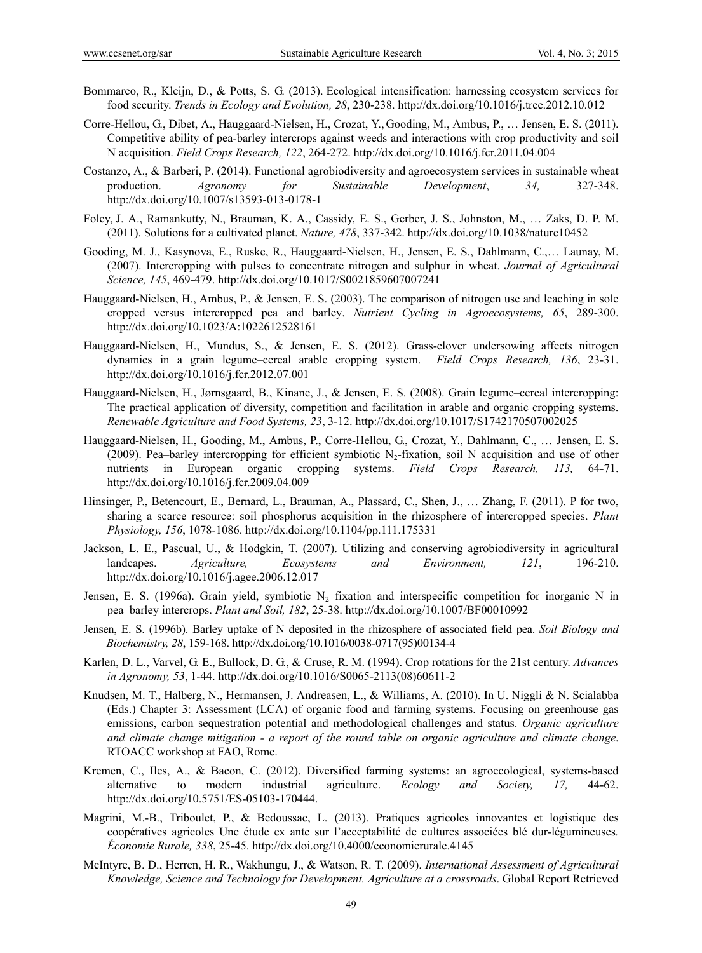- Bommarco, R., Kleijn, D., & Potts, S. G. (2013). Ecological intensification: harnessing ecosystem services for food security. *Trends in Ecology and Evolution, 28*, 230-238. http://dx.doi.org/10.1016/j.tree.2012.10.012
- Corre-Hellou, G., Dibet, A., Hauggaard-Nielsen, H., Crozat, Y., Gooding, M., Ambus, P., … Jensen, E. S. (2011). Competitive ability of pea-barley intercrops against weeds and interactions with crop productivity and soil N acquisition. *Field Crops Research, 122*, 264-272. http://dx.doi.org/10.1016/j.fcr.2011.04.004
- Costanzo, A., & Barberi, P. (2014). Functional agrobiodiversity and agroecosystem services in sustainable wheat production. *Agronomy for Sustainable Development*, *34,* 327-348. http://dx.doi.org/10.1007/s13593-013-0178-1
- Foley, J. A., Ramankutty, N., Brauman, K. A., Cassidy, E. S., Gerber, J. S., Johnston, M., … Zaks, D. P. M. (2011). Solutions for a cultivated planet. *Nature, 478*, 337-342. http://dx.doi.org/10.1038/nature10452
- Gooding, M. J., Kasynova, E., Ruske, R., Hauggaard-Nielsen, H., Jensen, E. S., Dahlmann, C.,… Launay, M. (2007). Intercropping with pulses to concentrate nitrogen and sulphur in wheat. *Journal of Agricultural Science, 145*, 469-479. http://dx.doi.org/10.1017/S0021859607007241
- Hauggaard-Nielsen, H., Ambus, P., & Jensen, E. S. (2003). The comparison of nitrogen use and leaching in sole cropped versus intercropped pea and barley. *Nutrient Cycling in Agroecosystems, 65*, 289-300. http://dx.doi.org/10.1023/A:1022612528161
- Hauggaard-Nielsen, H., Mundus, S., & Jensen, E. S. (2012). Grass-clover undersowing affects nitrogen dynamics in a grain legume–cereal arable cropping system. *Field Crops Research, 136*, 23-31. http://dx.doi.org/10.1016/j.fcr.2012.07.001
- Hauggaard-Nielsen, H., Jørnsgaard, B., Kinane, J., & Jensen, E. S. (2008). Grain legume–cereal intercropping: The practical application of diversity, competition and facilitation in arable and organic cropping systems. *Renewable Agriculture and Food Systems, 23*, 3-12. http://dx.doi.org/10.1017/S1742170507002025
- Hauggaard-Nielsen, H., Gooding, M., Ambus, P., Corre-Hellou, G., Crozat, Y., Dahlmann, C., … Jensen, E. S. (2009). Pea–barley intercropping for efficient symbiotic N<sub>2</sub>-fixation, soil N acquisition and use of other nutrients in European organic cropping systems. *Field Crops Research, 113,* 64-71. http://dx.doi.org/10.1016/j.fcr.2009.04.009
- Hinsinger, P., Betencourt, E., Bernard, L., Brauman, A., Plassard, C., Shen, J., … Zhang, F. (2011). P for two, sharing a scarce resource: soil phosphorus acquisition in the rhizosphere of intercropped species. *Plant Physiology, 156*, 1078-1086. http://dx.doi.org/10.1104/pp.111.175331
- Jackson, L. E., Pascual, U., & Hodgkin, T. (2007). Utilizing and conserving agrobiodiversity in agricultural landcapes. *Agriculture, Ecosystems and Environment, 121*, 196-210. http://dx.doi.org/10.1016/j.agee.2006.12.017
- Jensen, E. S. (1996a). Grain yield, symbiotic  $N<sub>2</sub>$  fixation and interspecific competition for inorganic N in pea–barley intercrops. *Plant and Soil, 182*, 25-38. http://dx.doi.org/10.1007/BF00010992
- Jensen, E. S. (1996b). Barley uptake of N deposited in the rhizosphere of associated field pea. *Soil Biology and Biochemistry, 28*, 159-168. http://dx.doi.org/10.1016/0038-0717(95)00134-4
- Karlen, D. L., Varvel, G. E., Bullock, D. G., & Cruse, R. M. (1994). Crop rotations for the 21st century. *Advances in Agronomy, 53*, 1-44. http://dx.doi.org/10.1016/S0065-2113(08)60611-2
- Knudsen, M. T., Halberg, N., Hermansen, J. Andreasen, L., & Williams, A. (2010). In U. Niggli & N. Scialabba (Eds.) Chapter 3: Assessment (LCA) of organic food and farming systems. Focusing on greenhouse gas emissions, carbon sequestration potential and methodological challenges and status. *Organic agriculture and climate change mitigation - a report of the round table on organic agriculture and climate change*. RTOACC workshop at FAO, Rome.
- Kremen, C., Iles, A., & Bacon, C. (2012). Diversified farming systems: an agroecological, systems-based alternative to modern industrial agriculture. *Ecology and Society, 17,* 44-62. http://dx.doi.org/10.5751/ES-05103-170444.
- Magrini, M.-B., Triboulet, P., & Bedoussac, L. (2013). Pratiques agricoles innovantes et logistique des coopératives agricoles Une étude ex ante sur l'acceptabilité de cultures associées blé dur-légumineuses*. Économie Rurale, 338*, 25-45. http://dx.doi.org/10.4000/economierurale.4145
- McIntyre, B. D., Herren, H. R., Wakhungu, J., & Watson, R. T. (2009). *International Assessment of Agricultural Knowledge, Science and Technology for Development. Agriculture at a crossroads*. Global Report Retrieved